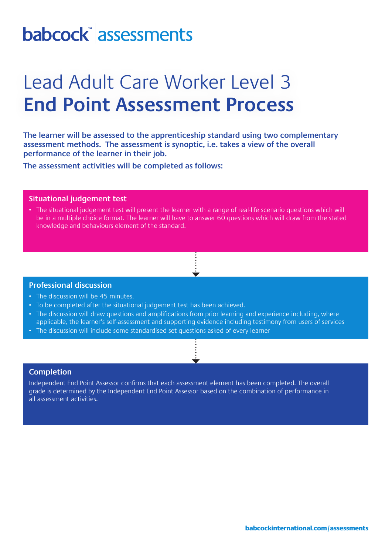# babcock assessments

### Lead Adult Care Worker Level 3 **End Point Assessment Process**

**The learner will be assessed to the apprenticeship standard using two complementary assessment methods. The assessment is synoptic, i.e. takes a view of the overall performance of the learner in their job.** 

**The assessment activities will be completed as follows:**

#### **Situational judgement test**

• The situational judgement test will present the learner with a range of real-life scenario questions which will be in a multiple choice format. The learner will have to answer 60 questions which will draw from the stated knowledge and behaviours element of the standard.

#### **Professional discussion**

- The discussion will be 45 minutes.
- To be completed after the situational judgement test has been achieved.
- The discussion will draw questions and amplifications from prior learning and experience including, where applicable, the learner's self-assessment and supporting evidence including testimony from users of services
- The discussion will include some standardised set questions asked of every learner

### **Completion**

Independent End Point Assessor confirms that each assessment element has been completed. The overall grade is determined by the Independent End Point Assessor based on the combination of performance in all assessment activities.